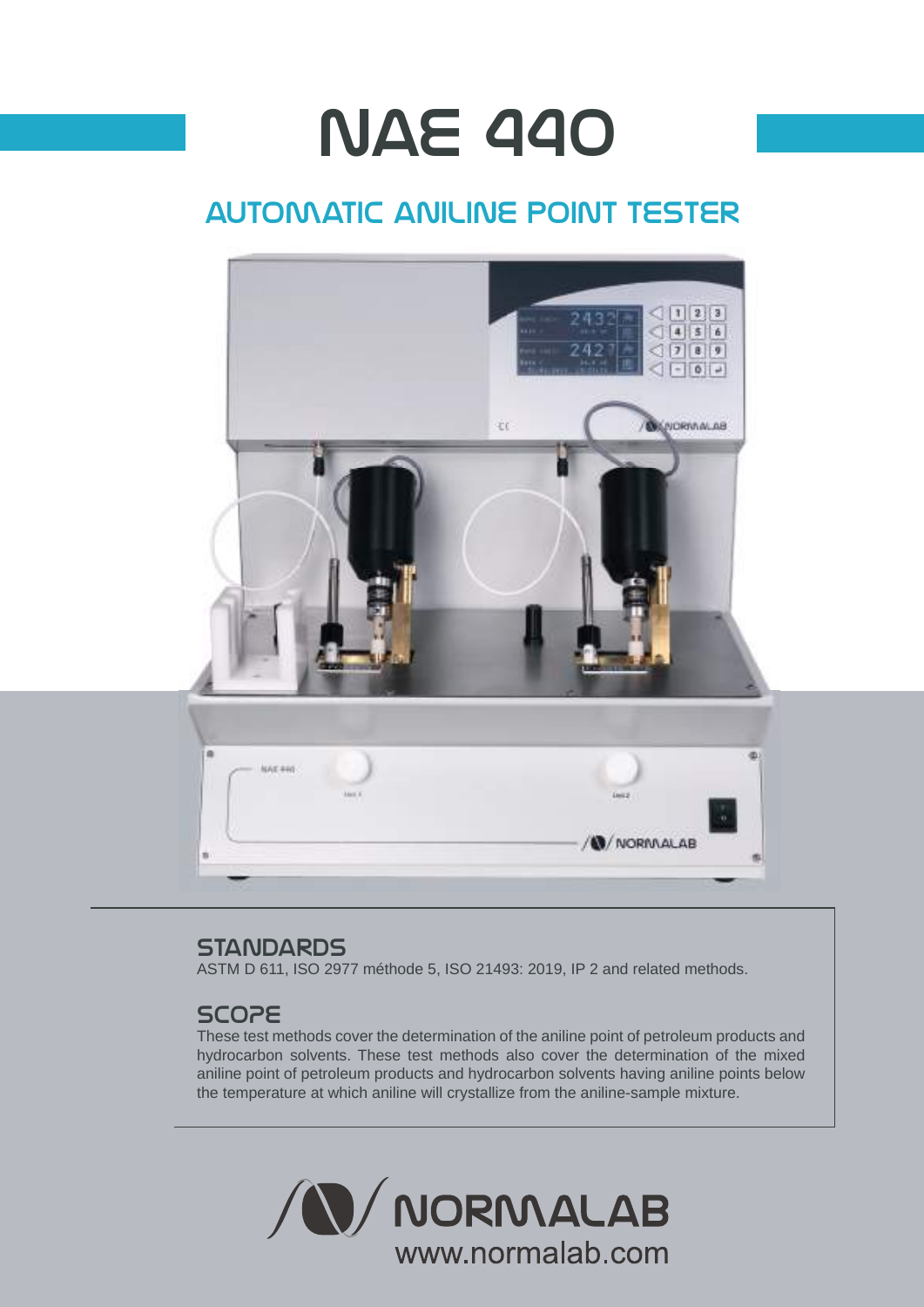# **NAE 440**

## automatic aniline point tester



### **STANDARDS**

ASTM D 611, ISO 2977 méthode 5, ISO 21493: 2019, IP 2 and related methods.

## **SCOPE**

These test methods cover the determination of the aniline point of petroleum products and hydrocarbon solvents. These test methods also cover the determination of the mixed aniline point of petroleum products and hydrocarbon solvents having aniline points below the temperature at which aniline will crystallize from the aniline-sample mixture.